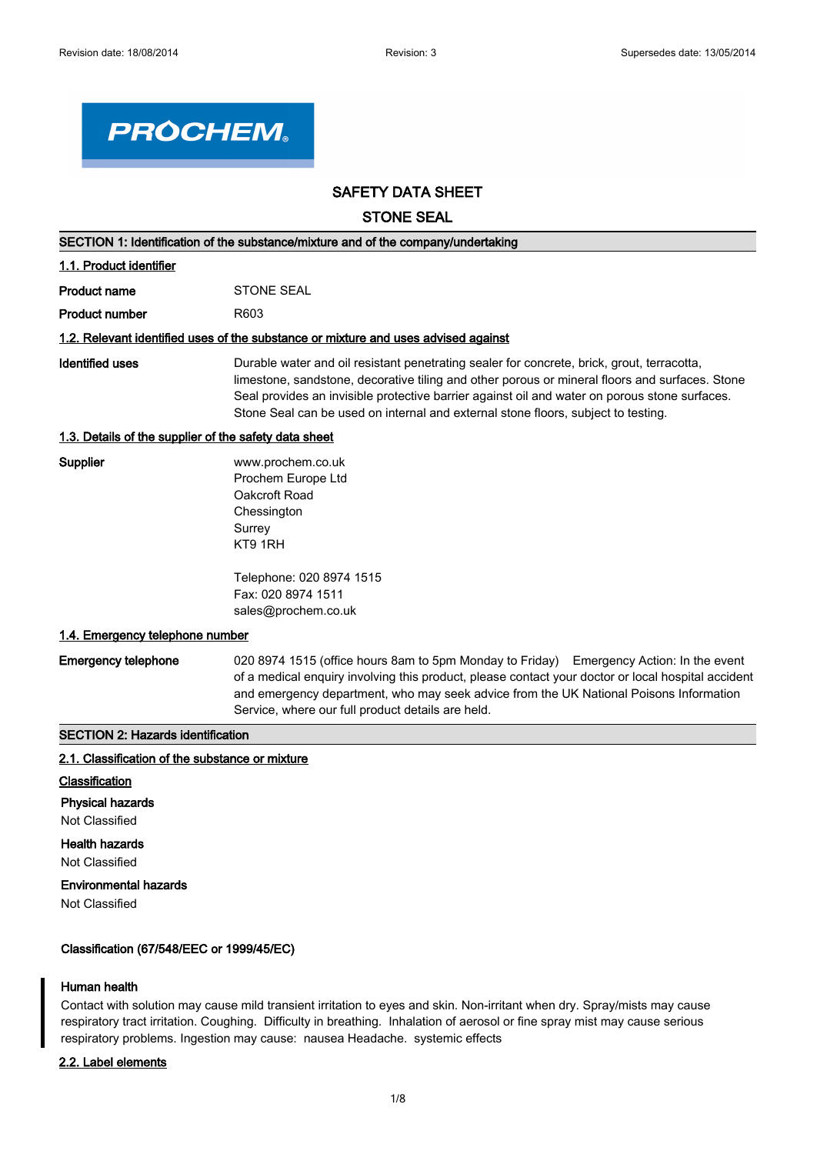

# **SAFETY DATA SHEET**

**STONE SEAL**

| SECTION 1: Identification of the substance/mixture and of the company/undertaking |                                                                                                                                                                                                                                                                                                                                                                                    |  |  |
|-----------------------------------------------------------------------------------|------------------------------------------------------------------------------------------------------------------------------------------------------------------------------------------------------------------------------------------------------------------------------------------------------------------------------------------------------------------------------------|--|--|
| 1.1. Product identifier                                                           |                                                                                                                                                                                                                                                                                                                                                                                    |  |  |
| <b>Product name</b>                                                               | <b>STONE SEAL</b>                                                                                                                                                                                                                                                                                                                                                                  |  |  |
| <b>Product number</b>                                                             | R603                                                                                                                                                                                                                                                                                                                                                                               |  |  |
|                                                                                   | 1.2. Relevant identified uses of the substance or mixture and uses advised against                                                                                                                                                                                                                                                                                                 |  |  |
| Identified uses                                                                   | Durable water and oil resistant penetrating sealer for concrete, brick, grout, terracotta,<br>limestone, sandstone, decorative tiling and other porous or mineral floors and surfaces. Stone<br>Seal provides an invisible protective barrier against oil and water on porous stone surfaces.<br>Stone Seal can be used on internal and external stone floors, subject to testing. |  |  |
| 1.3. Details of the supplier of the safety data sheet                             |                                                                                                                                                                                                                                                                                                                                                                                    |  |  |
| Supplier                                                                          | www.prochem.co.uk<br>Prochem Europe Ltd<br>Oakcroft Road<br>Chessington<br>Surrey<br>KT9 1RH                                                                                                                                                                                                                                                                                       |  |  |
|                                                                                   | Telephone: 020 8974 1515<br>Fax: 020 8974 1511<br>sales@prochem.co.uk                                                                                                                                                                                                                                                                                                              |  |  |
| 1.4. Emergency telephone number                                                   |                                                                                                                                                                                                                                                                                                                                                                                    |  |  |
| <b>Emergency telephone</b>                                                        | 020 8974 1515 (office hours 8am to 5pm Monday to Friday) Emergency Action: In the event<br>of a medical enquiry involving this product, please contact your doctor or local hospital accident<br>and emergency department, who may seek advice from the UK National Poisons Information<br>Service, where our full product details are held.                                       |  |  |
| <b>SECTION 2: Hazards identification</b>                                          |                                                                                                                                                                                                                                                                                                                                                                                    |  |  |
| 2.1. Classification of the substance or mixture                                   |                                                                                                                                                                                                                                                                                                                                                                                    |  |  |

- **Classification**
- **Physical hazards**

Not Classified

**Health hazards**

Not Classified

# **Environmental hazards**

Not Classified

# **Classification (67/548/EEC or 1999/45/EC)**

# **Human health**

Contact with solution may cause mild transient irritation to eyes and skin. Non-irritant when dry. Spray/mists may cause respiratory tract irritation. Coughing. Difficulty in breathing. Inhalation of aerosol or fine spray mist may cause serious respiratory problems. Ingestion may cause: nausea Headache. systemic effects

# **2.2. Label elements**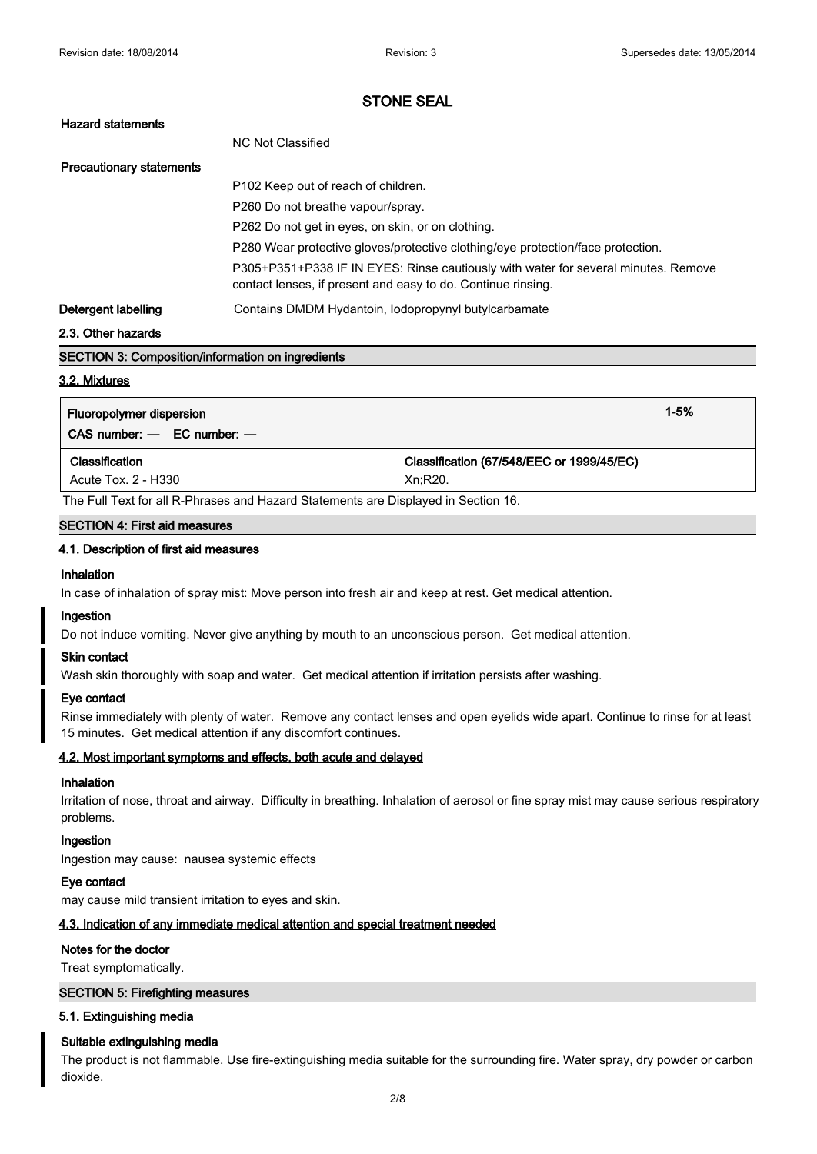| <b>Hazard statements</b>        |                                                                                                                                                    |
|---------------------------------|----------------------------------------------------------------------------------------------------------------------------------------------------|
|                                 | NC Not Classified                                                                                                                                  |
| <b>Precautionary statements</b> |                                                                                                                                                    |
|                                 | P102 Keep out of reach of children.                                                                                                                |
|                                 | P260 Do not breathe vapour/spray.                                                                                                                  |
|                                 | P262 Do not get in eyes, on skin, or on clothing.                                                                                                  |
|                                 | P280 Wear protective gloves/protective clothing/eye protection/face protection.                                                                    |
|                                 | P305+P351+P338 IF IN EYES: Rinse cautiously with water for several minutes. Remove<br>contact lenses, if present and easy to do. Continue rinsing. |
| Detergent labelling             | Contains DMDM Hydantoin, Iodopropynyl butylcarbamate                                                                                               |
| 2.2. Other hezerde              |                                                                                                                                                    |

#### **2.3. Other hazards**

# **SECTION 3: Composition/information on ingredients**

#### **3.2. Mixtures**

| Fluoropolymer dispersion<br>$CAS$ number: $-$ EC number: $-$ | $1 - 5%$                                             |  |
|--------------------------------------------------------------|------------------------------------------------------|--|
| Classification<br>Acute Tox. 2 - H330                        | Classification (67/548/EEC or 1999/45/EC)<br>Xn:R20. |  |

The Full Text for all R-Phrases and Hazard Statements are Displayed in Section 16.

#### **SECTION 4: First aid measures**

#### **4.1. Description of first aid measures**

# **Inhalation**

In case of inhalation of spray mist: Move person into fresh air and keep at rest. Get medical attention.

### **Ingestion**

Do not induce vomiting. Never give anything by mouth to an unconscious person. Get medical attention.

#### **Skin contact**

Wash skin thoroughly with soap and water. Get medical attention if irritation persists after washing.

#### **Eye contact**

Rinse immediately with plenty of water. Remove any contact lenses and open eyelids wide apart. Continue to rinse for at least 15 minutes. Get medical attention if any discomfort continues.

#### **4.2. Most important symptoms and effects, both acute and delayed**

#### **Inhalation**

Irritation of nose, throat and airway. Difficulty in breathing. Inhalation of aerosol or fine spray mist may cause serious respiratory problems.

#### **Ingestion**

Ingestion may cause: nausea systemic effects

#### **Eye contact**

may cause mild transient irritation to eyes and skin.

# **4.3. Indication of any immediate medical attention and special treatment needed**

#### **Notes for the doctor**

Treat symptomatically.

#### **SECTION 5: Firefighting measures**

### **5.1. Extinguishing media**

#### **Suitable extinguishing media**

The product is not flammable. Use fire-extinguishing media suitable for the surrounding fire. Water spray, dry powder or carbon dioxide.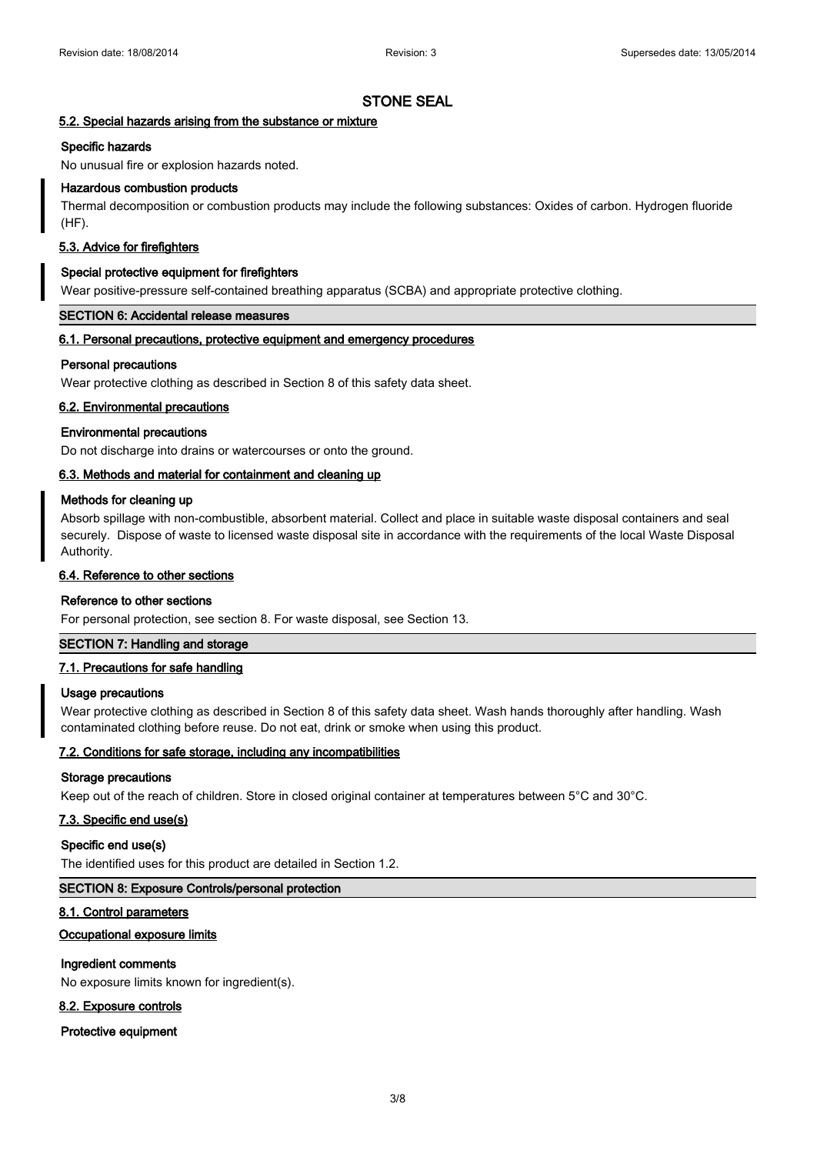# **5.2. Special hazards arising from the substance or mixture**

#### **Specific hazards**

No unusual fire or explosion hazards noted.

### **Hazardous combustion products**

Thermal decomposition or combustion products may include the following substances: Oxides of carbon. Hydrogen fluoride (HF).

### **5.3. Advice for firefighters**

#### **Special protective equipment for firefighters**

Wear positive-pressure self-contained breathing apparatus (SCBA) and appropriate protective clothing.

#### **SECTION 6: Accidental release measures**

#### **6.1. Personal precautions, protective equipment and emergency procedures**

#### **Personal precautions**

Wear protective clothing as described in Section 8 of this safety data sheet.

# **6.2. Environmental precautions**

# **Environmental precautions**

Do not discharge into drains or watercourses or onto the ground.

# **6.3. Methods and material for containment and cleaning up**

### **Methods for cleaning up**

Absorb spillage with non-combustible, absorbent material. Collect and place in suitable waste disposal containers and seal securely. Dispose of waste to licensed waste disposal site in accordance with the requirements of the local Waste Disposal Authority.

### **6.4. Reference to other sections**

#### **Reference to other sections**

For personal protection, see section 8. For waste disposal, see Section 13.

# **SECTION 7: Handling and storage**

# **7.1. Precautions for safe handling**

#### **Usage precautions**

Wear protective clothing as described in Section 8 of this safety data sheet. Wash hands thoroughly after handling. Wash contaminated clothing before reuse. Do not eat, drink or smoke when using this product.

# **7.2. Conditions for safe storage, including any incompatibilities**

#### **Storage precautions**

Keep out of the reach of children. Store in closed original container at temperatures between 5°C and 30°C.

#### **7.3. Specific end use(s)**

#### **Specific end use(s)**

The identified uses for this product are detailed in Section 1.2.

# **SECTION 8: Exposure Controls/personal protection**

#### **8.1. Control parameters**

# **Occupational exposure limits**

# **Ingredient comments**

No exposure limits known for ingredient(s).

# **8.2. Exposure controls**

**Protective equipment**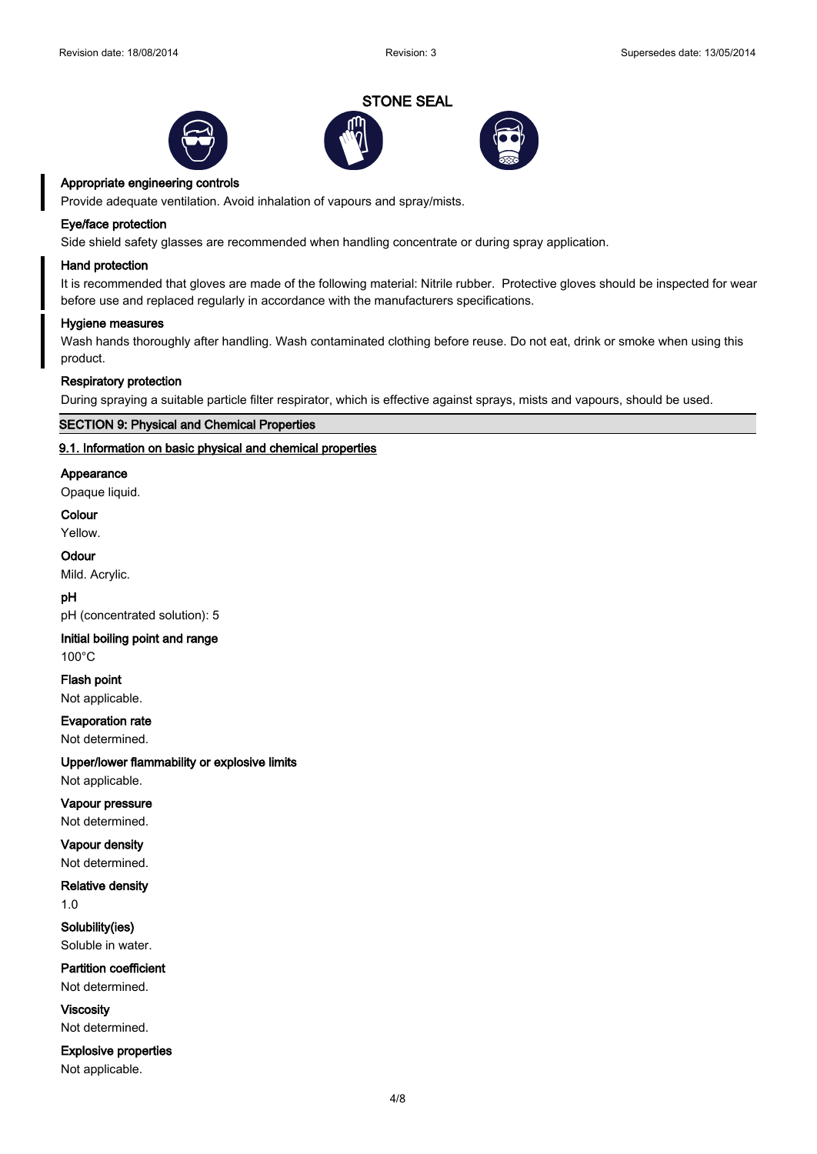





#### **Appropriate engineering controls**

Provide adequate ventilation. Avoid inhalation of vapours and spray/mists.

#### **Eye/face protection**

Side shield safety glasses are recommended when handling concentrate or during spray application.

#### **Hand protection**

It is recommended that gloves are made of the following material: Nitrile rubber. Protective gloves should be inspected for wear before use and replaced regularly in accordance with the manufacturers specifications.

#### **Hygiene measures**

Wash hands thoroughly after handling. Wash contaminated clothing before reuse. Do not eat, drink or smoke when using this product.

#### **Respiratory protection**

During spraying a suitable particle filter respirator, which is effective against sprays, mists and vapours, should be used.

# **SECTION 9: Physical and Chemical Properties**

#### **9.1. Information on basic physical and chemical properties**

#### **Appearance**

Opaque liquid.

### **Colour**

Yellow.

# **Odour**

Mild. Acrylic.

#### **pH**

pH (concentrated solution): 5

# **Initial boiling point and range**

100°C

**Flash point** Not applicable.

**Evaporation rate**

Not determined.

# **Upper/lower flammability or explosive limits**

Not applicable.

**Vapour pressure** Not determined.

### **Vapour density** Not determined.

**Relative density**

1.0

**Solubility(ies)** Soluble in water.

**Partition coefficient** Not determined.

**Viscosity** Not determined.

**Explosive properties**

Not applicable.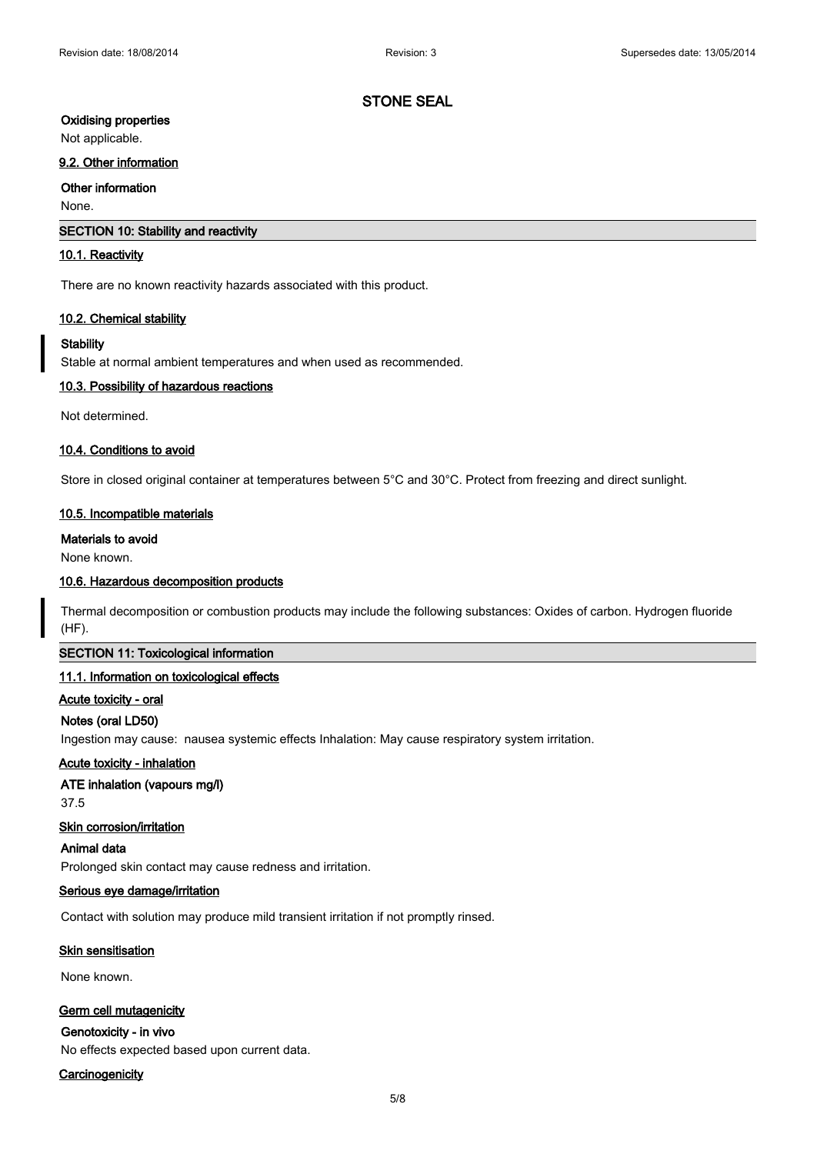# **Oxidising properties**

Not applicable.

# **9.2. Other information**

# **Other information**

None.

#### **SECTION 10: Stability and reactivity**

#### **10.1. Reactivity**

There are no known reactivity hazards associated with this product.

#### **10.2. Chemical stability**

#### **Stability**

Stable at normal ambient temperatures and when used as recommended.

#### **10.3. Possibility of hazardous reactions**

Not determined.

### **10.4. Conditions to avoid**

Store in closed original container at temperatures between 5°C and 30°C. Protect from freezing and direct sunlight.

### **10.5. Incompatible materials**

# **Materials to avoid**

None known.

#### **10.6. Hazardous decomposition products**

Thermal decomposition or combustion products may include the following substances: Oxides of carbon. Hydrogen fluoride (HF).

# **SECTION 11: Toxicological information**

#### **11.1. Information on toxicological effects**

#### **Acute toxicity - oral**

#### **Notes (oral LD50)**

Ingestion may cause: nausea systemic effects Inhalation: May cause respiratory system irritation.

#### **Acute toxicity - inhalation**

### **ATE inhalation (vapours mg/l)**

37.5

### **Skin corrosion/irritation**

#### **Animal data**

Prolonged skin contact may cause redness and irritation.

# **Serious eye damage/irritation**

Contact with solution may produce mild transient irritation if not promptly rinsed.

#### **Skin sensitisation**

None known.

#### **Germ cell mutagenicity**

# **Genotoxicity - in vivo**

No effects expected based upon current data.

# **Carcinogenicity**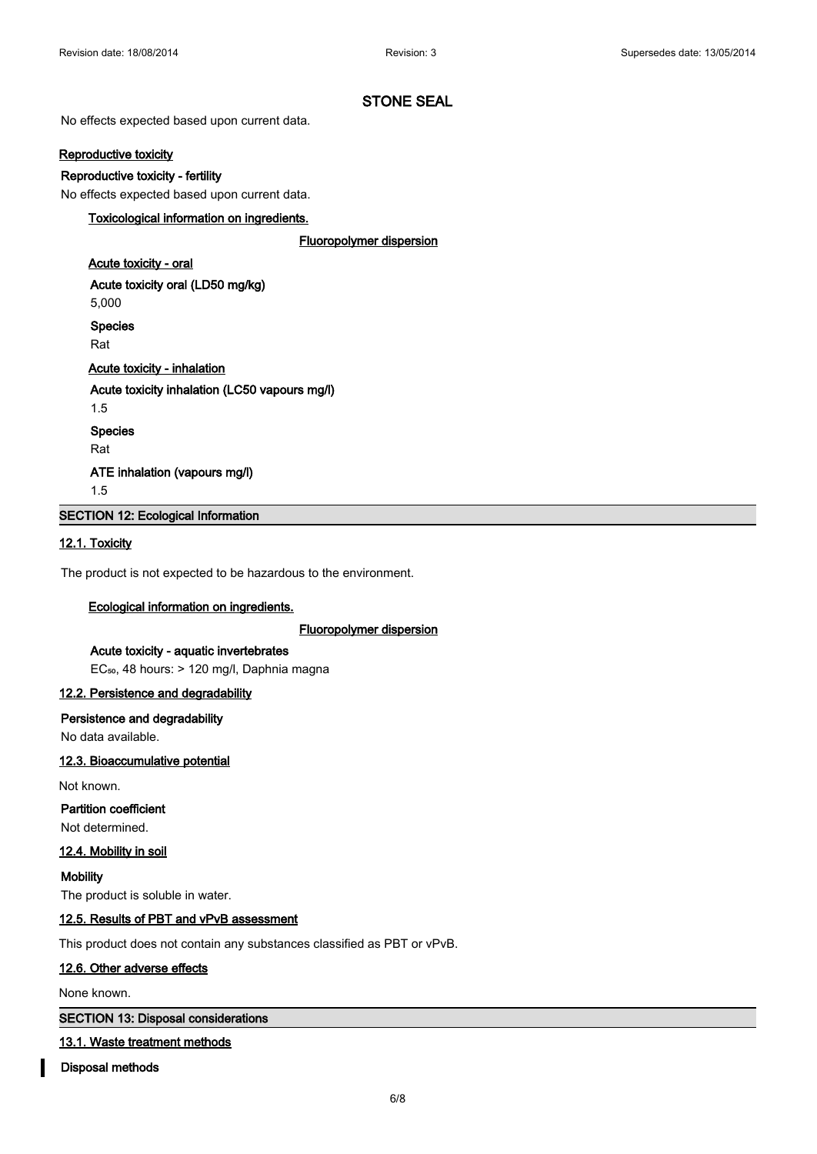No effects expected based upon current data.

# **Reproductive toxicity**

### **Reproductive toxicity - fertility**

No effects expected based upon current data.

# **Toxicological information on ingredients.**

#### **Fluoropolymer dispersion**

# **Acute toxicity - oral**

**Acute toxicity oral (LD50 mg/kg)** 5,000 **Species**

Rat

# **Acute toxicity - inhalation**

**Acute toxicity inhalation (LC50 vapours mg/l)**

1.5

**Species**

Rat

**ATE inhalation (vapours mg/l)**

1.5

**SECTION 12: Ecological Information**

### **12.1. Toxicity**

The product is not expected to be hazardous to the environment.

# **Ecological information on ingredients.**

# **Fluoropolymer dispersion**

**Acute toxicity - aquatic invertebrates** EC₅₀, 48 hours: > 120 mg/l, Daphnia magna

# **12.2. Persistence and degradability**

**Persistence and degradability**

No data available.

### **12.3. Bioaccumulative potential**

Not known.

# **Partition coefficient**

Not determined.

# **12.4. Mobility in soil**

**Mobility** The product is soluble in water.

# **12.5. Results of PBT and vPvB assessment**

This product does not contain any substances classified as PBT or vPvB.

# **12.6. Other adverse effects**

None known.

**SECTION 13: Disposal considerations**

# **13.1. Waste treatment methods**

**Disposal methods**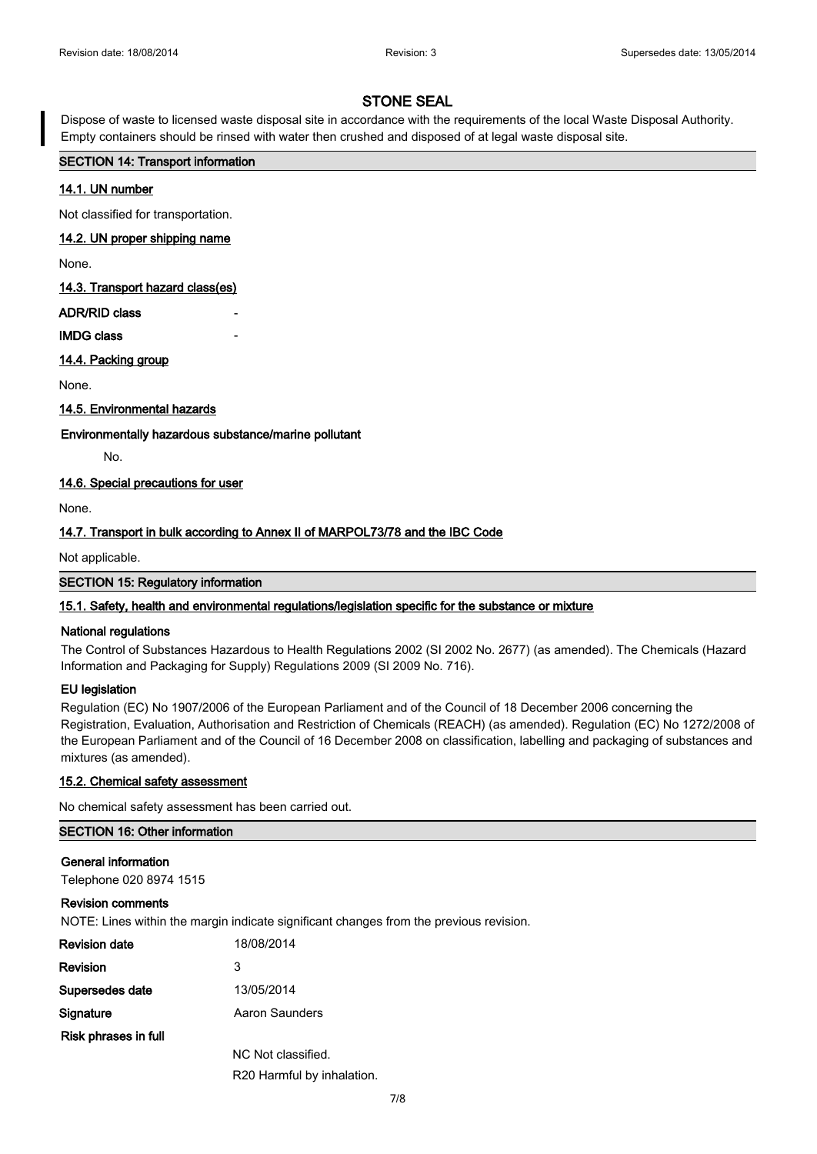Dispose of waste to licensed waste disposal site in accordance with the requirements of the local Waste Disposal Authority. Empty containers should be rinsed with water then crushed and disposed of at legal waste disposal site.

### **SECTION 14: Transport information**

# **14.1. UN number**

Not classified for transportation.

#### **14.2. UN proper shipping name**

None.

**14.3. Transport hazard class(es)**

# **ADR/RID class**

# **IMDG class**

**14.4. Packing group**

None.

### **14.5. Environmental hazards**

# **Environmentally hazardous substance/marine pollutant**

No.

# **14.6. Special precautions for user**

None.

# **14.7. Transport in bulk according to Annex II of MARPOL73/78 and the IBC Code**

Not applicable.

**SECTION 15: Regulatory information**

# **15.1. Safety, health and environmental regulations/legislation specific for the substance or mixture**

### **National regulations**

The Control of Substances Hazardous to Health Regulations 2002 (SI 2002 No. 2677) (as amended). The Chemicals (Hazard Information and Packaging for Supply) Regulations 2009 (SI 2009 No. 716).

# **EU legislation**

Regulation (EC) No 1907/2006 of the European Parliament and of the Council of 18 December 2006 concerning the Registration, Evaluation, Authorisation and Restriction of Chemicals (REACH) (as amended). Regulation (EC) No 1272/2008 of the European Parliament and of the Council of 16 December 2008 on classification, labelling and packaging of substances and mixtures (as amended).

# **15.2. Chemical safety assessment**

No chemical safety assessment has been carried out.

# **SECTION 16: Other information**

# **General information**

Telephone 020 8974 1515

# **Revision comments**

NOTE: Lines within the margin indicate significant changes from the previous revision.

| <b>Revision date</b> | 18/08/2014                 |
|----------------------|----------------------------|
| Revision             | 3                          |
| Supersedes date      | 13/05/2014                 |
| Signature            | Aaron Saunders             |
| Risk phrases in full |                            |
|                      | NC Not classified.         |
|                      | R20 Harmful by inhalation. |